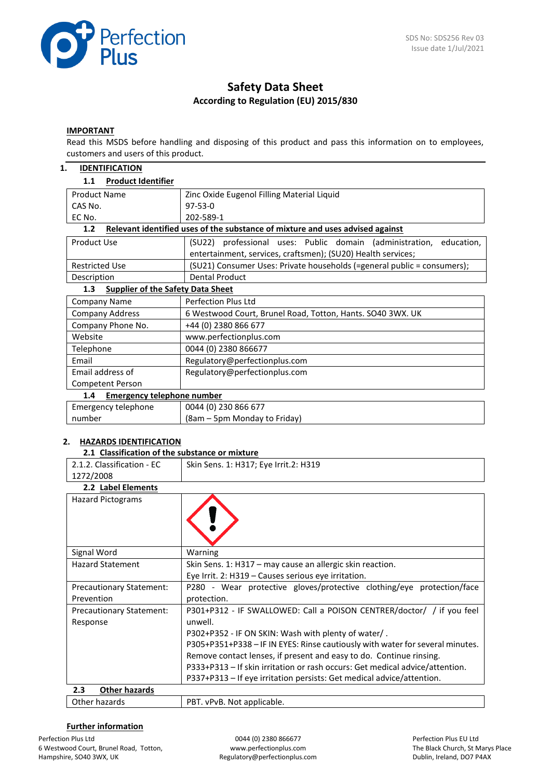

# **Safety Data Sheet According to Regulation (EU) 2015/830**

#### **IMPORTANT**

Read this MSDS before handling and disposing of this product and pass this information on to employees, customers and users of this product.

| 1.<br><b>IDENTIFICATION</b>                     |                                                                               |
|-------------------------------------------------|-------------------------------------------------------------------------------|
| <b>Product Identifier</b><br>1.1                |                                                                               |
| <b>Product Name</b>                             | Zinc Oxide Eugenol Filling Material Liquid                                    |
| CAS No.                                         | $97 - 53 - 0$                                                                 |
| EC No.                                          | 202-589-1                                                                     |
| 1.2                                             | Relevant identified uses of the substance of mixture and uses advised against |
| <b>Product Use</b>                              | (SU22) professional uses: Public domain (administration, education,           |
|                                                 | entertainment, services, craftsmen); (SU20) Health services;                  |
| <b>Restricted Use</b>                           | (SU21) Consumer Uses: Private households (=general public = consumers);       |
| Description                                     | <b>Dental Product</b>                                                         |
| 1.3<br><b>Supplier of the Safety Data Sheet</b> |                                                                               |
| <b>Company Name</b>                             | <b>Perfection Plus Ltd</b>                                                    |
| <b>Company Address</b>                          | 6 Westwood Court, Brunel Road, Totton, Hants. SO40 3WX. UK                    |
| Company Phone No.                               | +44 (0) 2380 866 677                                                          |
| Website                                         | www.perfectionplus.com                                                        |
| Telephone                                       | 0044 (0) 2380 866677                                                          |
| Fmail                                           | Regulatory@perfectionplus.com                                                 |
| Email address of                                | Regulatory@perfectionplus.com                                                 |
| Competent Person                                |                                                                               |
| <b>Emergency telephone number</b><br>1.4        |                                                                               |
| Emergency telephone                             | 0044 (0) 230 866 677                                                          |
| number                                          | (8am – 5pm Monday to Friday)                                                  |

#### **2. HAZARDS IDENTIFICATION**

|                            | 2.1 Classification of the substance or mixture |  |  |  |  |
|----------------------------|------------------------------------------------|--|--|--|--|
| 2.1.2. Classification - EC | Skin Sens. 1: H317; Eye Irrit.2: H319          |  |  |  |  |
| 1272/2008                  |                                                |  |  |  |  |
| 2.2 Label Elements         |                                                |  |  |  |  |
| <b>Hazard Pictograms</b>   |                                                |  |  |  |  |

| Signal Word                     | Warning                                                                       |
|---------------------------------|-------------------------------------------------------------------------------|
| <b>Hazard Statement</b>         | Skin Sens. 1: H317 - may cause an allergic skin reaction.                     |
|                                 | Eye Irrit. 2: H319 - Causes serious eye irritation.                           |
| <b>Precautionary Statement:</b> | P280 - Wear protective gloves/protective clothing/eye protection/face         |
| Prevention                      | protection.                                                                   |
| <b>Precautionary Statement:</b> | P301+P312 - IF SWALLOWED: Call a POISON CENTRER/doctor/ / if you feel         |
| Response                        | unwell.                                                                       |
|                                 | P302+P352 - IF ON SKIN: Wash with plenty of water/.                           |
|                                 | P305+P351+P338 - IF IN EYES: Rinse cautiously with water for several minutes. |
|                                 | Remove contact lenses, if present and easy to do. Continue rinsing.           |
|                                 | P333+P313 - If skin irritation or rash occurs: Get medical advice/attention.  |
|                                 | P337+P313 – If eye irritation persists: Get medical advice/attention.         |
| 2.3<br><b>Other hazards</b>     |                                                                               |
| Other hazards                   | PBT. vPvB. Not applicable.                                                    |

## **Further information**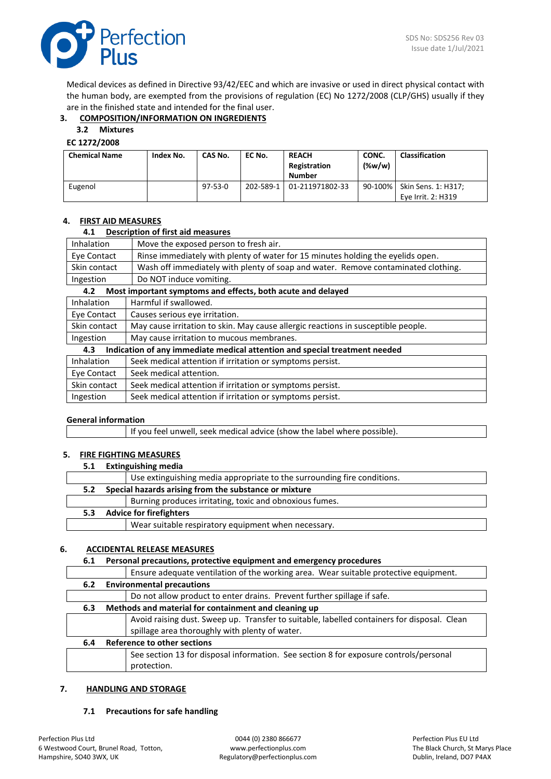

Medical devices as defined in Directive 93/42/EEC and which are invasive or used in direct physical contact with the human body, are exempted from the provisions of regulation (EC) No 1272/2008 (CLP/GHS) usually if they are in the finished state and intended for the final user.

# **3. COMPOSITION/INFORMATION ON INGREDIENTS**

## **3.2 Mixtures**

#### **EC 1272/2008**

| <b>Chemical Name</b> | Index No. | CAS No.       | EC No.    | <b>REACH</b><br>Registration<br>Number | CONC.<br>$(\%w/w)$ | <b>Classification</b>                     |
|----------------------|-----------|---------------|-----------|----------------------------------------|--------------------|-------------------------------------------|
| Eugenol              |           | $97 - 53 - 0$ | 202-589-1 | 01-211971802-33                        | 90-100%            | Skin Sens. 1: H317;<br>Eve Irrit. 2: H319 |

#### **4. FIRST AID MEASURES**

#### **4.1 Description of first aid measures**

| Inhalation        | Move the exposed person to fresh air.                                             |  |
|-------------------|-----------------------------------------------------------------------------------|--|
| Eye Contact       | Rinse immediately with plenty of water for 15 minutes holding the eyelids open.   |  |
| Skin contact      | Wash off immediately with plenty of soap and water. Remove contaminated clothing. |  |
| Ingestion         | Do NOT induce vomiting.                                                           |  |
| 4.2               | Most important symptoms and effects, both acute and delayed                       |  |
| <b>Inhalation</b> | Harmful if swallowed.                                                             |  |
| Eye Contact       | Causes serious eye irritation.                                                    |  |
| Skin contact      | May cause irritation to skin. May cause allergic reactions in susceptible people. |  |
| Ingestion         | May cause irritation to mucous membranes.                                         |  |
| 4.3               | Indication of any immediate medical attention and special treatment needed        |  |
| <b>Inhalation</b> | Seek medical attention if irritation or symptoms persist.                         |  |
| Eye Contact       | Seek medical attention.                                                           |  |
| Skin contact      | Seek medical attention if irritation or symptoms persist.                         |  |
| Ingestion         | Seek medical attention if irritation or symptoms persist.                         |  |

#### **General information**

 $\mathsf{l}$ 

If you feel unwell, seek medical advice (show the label where possible).

#### **5. FIRE FIGHTING MEASURES**

| <b>Extinguishing media</b>            |                                                                         |  |
|---------------------------------------|-------------------------------------------------------------------------|--|
|                                       | Use extinguishing media appropriate to the surrounding fire conditions. |  |
|                                       | Special hazards arising from the substance or mixture                   |  |
|                                       | Burning produces irritating, toxic and obnoxious fumes.                 |  |
| <b>Advice for firefighters</b><br>5.3 |                                                                         |  |
|                                       | Wear suitable respiratory equipment when necessary.                     |  |
|                                       |                                                                         |  |

#### **6. ACCIDENTAL RELEASE MEASURES**

#### **6.1 Personal precautions, protective equipment and emergency procedures**

|     | Ensure adequate ventilation of the working area. Wear suitable protective equipment.        |
|-----|---------------------------------------------------------------------------------------------|
| 6.2 | <b>Environmental precautions</b>                                                            |
|     | Do not allow product to enter drains. Prevent further spillage if safe.                     |
| 6.3 | Methods and material for containment and cleaning up                                        |
|     | Avoid raising dust. Sweep up. Transfer to suitable, labelled containers for disposal. Clean |
|     | spillage area thoroughly with plenty of water.                                              |
| 6.4 | <b>Reference to other sections</b>                                                          |
|     | See section 13 for disposal information. See section 8 for exposure controls/personal       |
|     | protection.                                                                                 |

## **7. HANDLING AND STORAGE**

#### **7.1 Precautions for safe handling**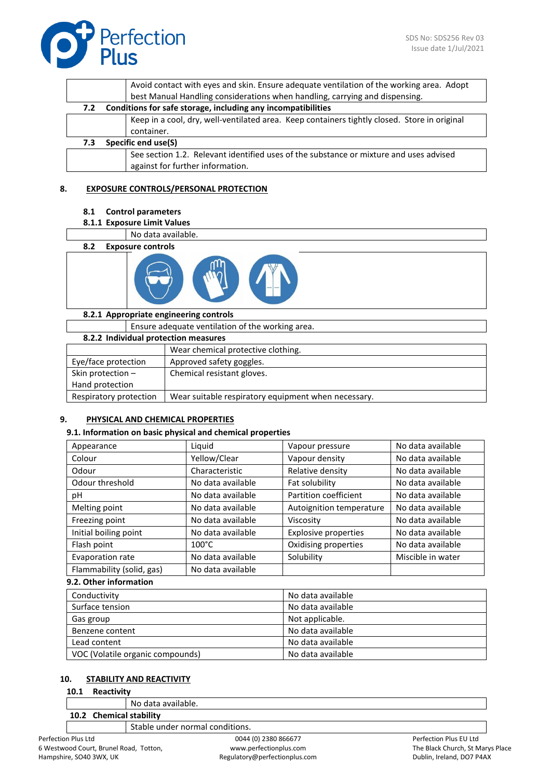|     | Avoid contact with eyes and skin. Ensure adequate ventilation of the working area. Adopt     |
|-----|----------------------------------------------------------------------------------------------|
|     | best Manual Handling considerations when handling, carrying and dispensing.                  |
| 7.2 | Conditions for safe storage, including any incompatibilities                                 |
|     | Keep in a cool, dry, well-ventilated area. Keep containers tightly closed. Store in original |
|     | container.                                                                                   |
| 7.3 | Specific end use(S)                                                                          |
|     | See section 1.2. Relevant identified uses of the substance or mixture and uses advised       |
|     | against for further information.                                                             |
|     |                                                                                              |

#### **8. EXPOSURE CONTROLS/PERSONAL PROTECTION**

- **8.1 Control parameters**
- **8.1.1 Exposure Limit Values**
- No data available. **8.2 Exposure controls**

#### **8.2.1 Appropriate engineering controls**

|                                                                               | Ensure adequate ventilation of the working area. |                                    |  |  |
|-------------------------------------------------------------------------------|--------------------------------------------------|------------------------------------|--|--|
|                                                                               | 8.2.2 Individual protection measures             |                                    |  |  |
|                                                                               |                                                  | Wear chemical protective clothing. |  |  |
| Eye/face protection                                                           |                                                  | Approved safety goggles.           |  |  |
| Skin protection -                                                             |                                                  | Chemical resistant gloves.         |  |  |
| Hand protection                                                               |                                                  |                                    |  |  |
| Respiratory protection<br>Wear suitable respiratory equipment when necessary. |                                                  |                                    |  |  |

# **9. PHYSICAL AND CHEMICAL PROPERTIES**

#### **9.1. Information on basic physical and chemical properties**

| Appearance                | Liquid            | Vapour pressure             | No data available |
|---------------------------|-------------------|-----------------------------|-------------------|
| Colour                    | Yellow/Clear      | Vapour density              | No data available |
| Odour                     | Characteristic    | Relative density            | No data available |
| Odour threshold           | No data available | Fat solubility              | No data available |
| рH                        | No data available | Partition coefficient       | No data available |
| Melting point             | No data available | Autoignition temperature    | No data available |
| Freezing point            | No data available | Viscosity                   | No data available |
| Initial boiling point     | No data available | <b>Explosive properties</b> | No data available |
| Flash point               | $100^{\circ}$ C   | Oxidising properties        | No data available |
| Evaporation rate          | No data available | Solubility                  | Miscible in water |
| Flammability (solid, gas) | No data available |                             |                   |

## **9.2. Other information**

| Conductivity                     | No data available |
|----------------------------------|-------------------|
| Surface tension                  | No data available |
| Gas group                        | Not applicable.   |
| Benzene content                  | No data available |
| Lead content                     | No data available |
| VOC (Volatile organic compounds) | No data available |

#### **10. STABILITY AND REACTIVITY**

#### **10.1 Reactivity**

|                         | No data available.              |  |
|-------------------------|---------------------------------|--|
| 10.2 Chemical stability |                                 |  |
|                         | Stable under normal conditions. |  |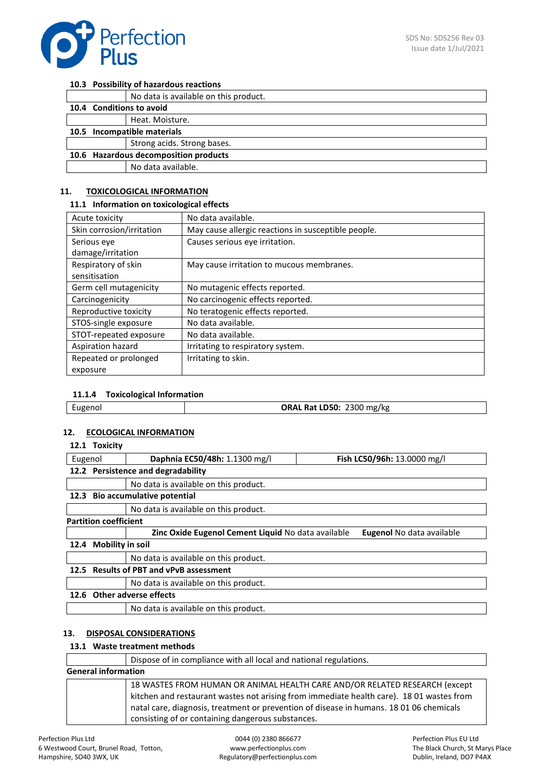

#### **10.3 Possibility of hazardous reactions**

|                                       | No data is available on this product. |
|---------------------------------------|---------------------------------------|
| 10.4 Conditions to avoid              |                                       |
|                                       | Heat. Moisture.                       |
| 10.5 Incompatible materials           |                                       |
|                                       | Strong acids. Strong bases.           |
| 10.6 Hazardous decomposition products |                                       |
|                                       | No data available.                    |

#### **11. TOXICOLOGICAL INFORMATION**

#### **11.1 Information on toxicological effects**

| Acute toxicity            | No data available.                                  |
|---------------------------|-----------------------------------------------------|
| Skin corrosion/irritation | May cause allergic reactions in susceptible people. |
| Serious eye               | Causes serious eye irritation.                      |
| damage/irritation         |                                                     |
| Respiratory of skin       | May cause irritation to mucous membranes.           |
| sensitisation             |                                                     |
| Germ cell mutagenicity    | No mutagenic effects reported.                      |
| Carcinogenicity           | No carcinogenic effects reported.                   |
| Reproductive toxicity     | No teratogenic effects reported.                    |
| STOS-single exposure      | No data available.                                  |
| STOT-repeated exposure    | No data available.                                  |
| Aspiration hazard         | Irritating to respiratory system.                   |
| Repeated or prolonged     | Irritating to skin.                                 |
| exposure                  |                                                     |

#### **11.1.4 Toxicological Information**

| 2300 mg/kg<br>Rat LD50:<br>ORAL<br>cugenol |
|--------------------------------------------|
|--------------------------------------------|

#### **12. ECOLOGICAL INFORMATION**

#### **12.1 Toxicity**

| Eugenol |                                                                                        | Daphnia EC50/48h: 1.1300 mg/l         | Fish LC50/96h: 13.0000 mg/l |  |
|---------|----------------------------------------------------------------------------------------|---------------------------------------|-----------------------------|--|
|         |                                                                                        | 12.2 Persistence and degradability    |                             |  |
|         |                                                                                        | No data is available on this product. |                             |  |
| 12.3    | <b>Bio accumulative potential</b>                                                      |                                       |                             |  |
|         |                                                                                        | No data is available on this product. |                             |  |
|         | <b>Partition coefficient</b>                                                           |                                       |                             |  |
|         | Zinc Oxide Eugenol Cement Liquid No data available<br><b>Eugenol</b> No data available |                                       |                             |  |
| 12.4    | <b>Mobility in soil</b>                                                                |                                       |                             |  |
|         | No data is available on this product.                                                  |                                       |                             |  |
|         | 12.5 Results of PBT and vPvB assessment                                                |                                       |                             |  |
|         |                                                                                        | No data is available on this product. |                             |  |
|         |                                                                                        | 12.6 Other adverse effects            |                             |  |
|         |                                                                                        | No data is available on this product. |                             |  |

# **13. DISPOSAL CONSIDERATIONS**

#### **13.1 Waste treatment methods**

|                            | Dispose of in compliance with all local and national regulations.                                                                                                                                                                                                                                                      |
|----------------------------|------------------------------------------------------------------------------------------------------------------------------------------------------------------------------------------------------------------------------------------------------------------------------------------------------------------------|
| <b>General information</b> |                                                                                                                                                                                                                                                                                                                        |
|                            | 18 WASTES FROM HUMAN OR ANIMAL HEALTH CARE AND/OR RELATED RESEARCH (except<br>kitchen and restaurant wastes not arising from immediate health care). 18 01 wastes from<br>natal care, diagnosis, treatment or prevention of disease in humans. 18 01 06 chemicals<br>consisting of or containing dangerous substances. |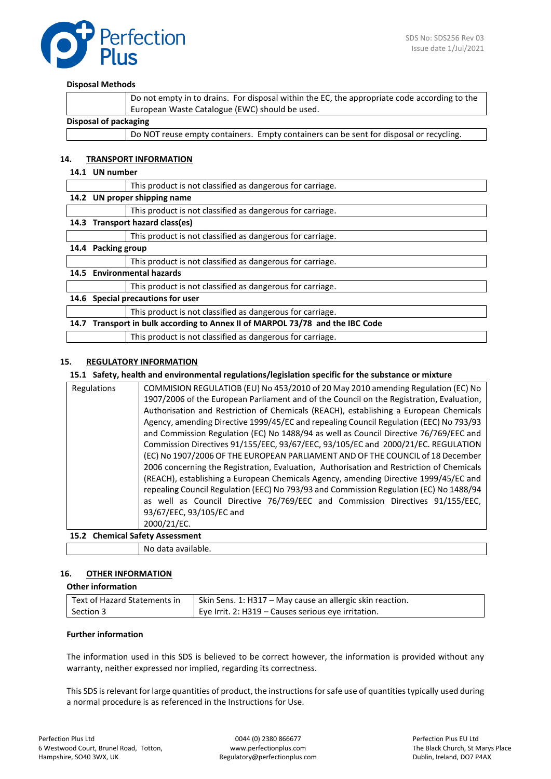

#### **Disposal Methods**

|                       | Do not empty in to drains. For disposal within the EC, the appropriate code according to the |
|-----------------------|----------------------------------------------------------------------------------------------|
|                       | European Waste Catalogue (EWC) should be used.                                               |
| Disposal of packaging |                                                                                              |
|                       | Do NOT reuse empty containers. Empty containers can be sent for disposal or recycling.       |

#### **14. TRANSPORT INFORMATION**

#### **14.1 UN number**

|      |                                   | This product is not classified as dangerous for carriage.                |
|------|-----------------------------------|--------------------------------------------------------------------------|
|      | 14.2 UN proper shipping name      |                                                                          |
|      |                                   | This product is not classified as dangerous for carriage.                |
| 14.3 | Transport hazard class(es)        |                                                                          |
|      |                                   | This product is not classified as dangerous for carriage.                |
| 14.4 | <b>Packing group</b>              |                                                                          |
|      |                                   | This product is not classified as dangerous for carriage.                |
|      | 14.5 Environmental hazards        |                                                                          |
|      |                                   | This product is not classified as dangerous for carriage.                |
|      | 14.6 Special precautions for user |                                                                          |
|      |                                   | This product is not classified as dangerous for carriage.                |
| 14.7 |                                   | Transport in bulk according to Annex II of MARPOL 73/78 and the IBC Code |
|      |                                   | This product is not classified as dangerous for carriage.                |

#### **15. REGULATORY INFORMATION**

#### **15.1 Safety, health and environmental regulations/legislation specific for the substance or mixture**

|             | repealing Council Regulation (EEC) No 793/93 and Commission Regulation (EC) No 1488/94<br>as well as Council Directive 76/769/EEC and Commission Directives 91/155/EEC,<br>93/67/EEC, 93/105/EC and<br>2000/21/EC.<br>15.2 Chemical Safety Assessment |
|-------------|-------------------------------------------------------------------------------------------------------------------------------------------------------------------------------------------------------------------------------------------------------|
|             |                                                                                                                                                                                                                                                       |
|             |                                                                                                                                                                                                                                                       |
|             |                                                                                                                                                                                                                                                       |
|             |                                                                                                                                                                                                                                                       |
|             |                                                                                                                                                                                                                                                       |
|             | (REACH), establishing a European Chemicals Agency, amending Directive 1999/45/EC and                                                                                                                                                                  |
|             | 2006 concerning the Registration, Evaluation, Authorisation and Restriction of Chemicals                                                                                                                                                              |
|             | (EC) No 1907/2006 OF THE EUROPEAN PARLIAMENT AND OF THE COUNCIL of 18 December                                                                                                                                                                        |
|             | Commission Directives 91/155/EEC, 93/67/EEC, 93/105/EC and 2000/21/EC. REGULATION                                                                                                                                                                     |
|             | and Commission Regulation (EC) No 1488/94 as well as Council Directive 76/769/EEC and                                                                                                                                                                 |
|             | Agency, amending Directive 1999/45/EC and repealing Council Regulation (EEC) No 793/93                                                                                                                                                                |
|             | Authorisation and Restriction of Chemicals (REACH), establishing a European Chemicals                                                                                                                                                                 |
|             | 1907/2006 of the European Parliament and of the Council on the Registration, Evaluation,                                                                                                                                                              |
| Regulations | COMMISION REGULATIOB (EU) No 453/2010 of 20 May 2010 amending Regulation (EC) No                                                                                                                                                                      |

# **16. OTHER INFORMATION**

## **Other information**

| Text of Hazard Statements in | Skin Sens. 1: H317 – May cause an allergic skin reaction. |
|------------------------------|-----------------------------------------------------------|
| Section 3                    | Eye Irrit. 2: H319 - Causes serious eye irritation.       |

# **Further information**

The information used in this SDS is believed to be correct however, the information is provided without any warranty, neither expressed nor implied, regarding its correctness.

This SDS is relevant for large quantities of product, the instructions for safe use of quantities typically used during a normal procedure is as referenced in the Instructions for Use.